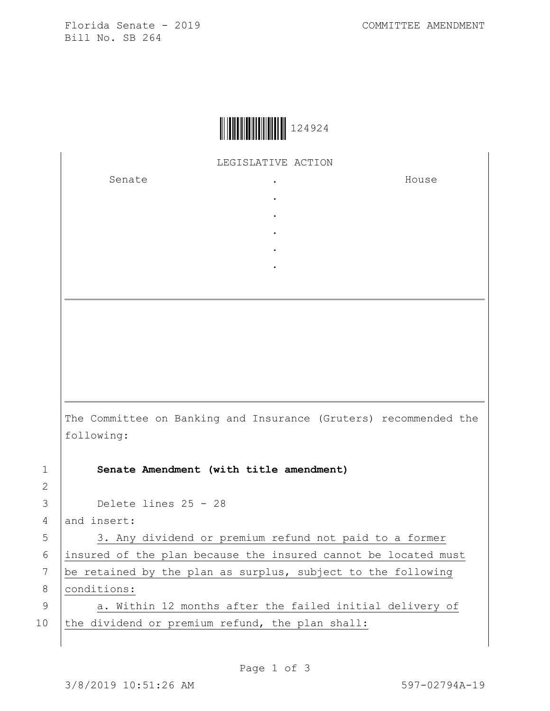Florida Senate - 2019 COMMITTEE AMENDMENT Bill No. SB 264



LEGISLATIVE ACTION

. . . . .

Senate .

House

The Committee on Banking and Insurance (Gruters) recommended the following:

1 **Senate Amendment (with title amendment)**

3 Delete lines 25 - 28

4 and insert:

2

5 | 3. Any dividend or premium refund not paid to a former 6 insured of the plan because the insured cannot be located must 7 be retained by the plan as surplus, subject to the following 8 | conditions:

9 | a. Within 12 months after the failed initial delivery of 10 the dividend or premium refund, the plan shall: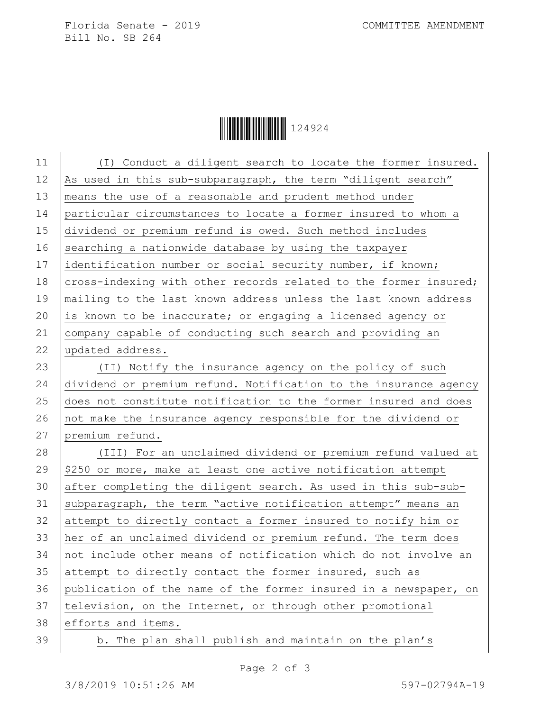Florida Senate - 2019 COMMITTEE AMENDMENT Bill No. SB 264

Ì124924,Î124924

| (I) Conduct a diligent search to locate the former insured.      |
|------------------------------------------------------------------|
| As used in this sub-subparagraph, the term "diligent search"     |
| means the use of a reasonable and prudent method under           |
| particular circumstances to locate a former insured to whom a    |
| dividend or premium refund is owed. Such method includes         |
| searching a nationwide database by using the taxpayer            |
| identification number or social security number, if known;       |
| cross-indexing with other records related to the former insured; |
| mailing to the last known address unless the last known address  |
| is known to be inaccurate; or engaging a licensed agency or      |
| company capable of conducting such search and providing an       |
| updated address.                                                 |
| (II) Notify the insurance agency on the policy of such           |
| dividend or premium refund. Notification to the insurance agency |
| does not constitute notification to the former insured and does  |
| not make the insurance agency responsible for the dividend or    |
| premium refund.                                                  |
| (III) For an unclaimed dividend or premium refund valued at      |
| \$250 or more, make at least one active notification attempt     |
| after completing the diligent search. As used in this sub-sub-   |
| subparagraph, the term "active notification attempt" means an    |
| attempt to directly contact a former insured to notify him or    |
| her of an unclaimed dividend or premium refund. The term does    |
| not include other means of notification which do not involve an  |
| attempt to directly contact the former insured, such as          |
| publication of the name of the former insured in a newspaper, on |
| television, on the Internet, or through other promotional        |
| efforts and items.                                               |
| b. The plan shall publish and maintain on the plan's             |
|                                                                  |